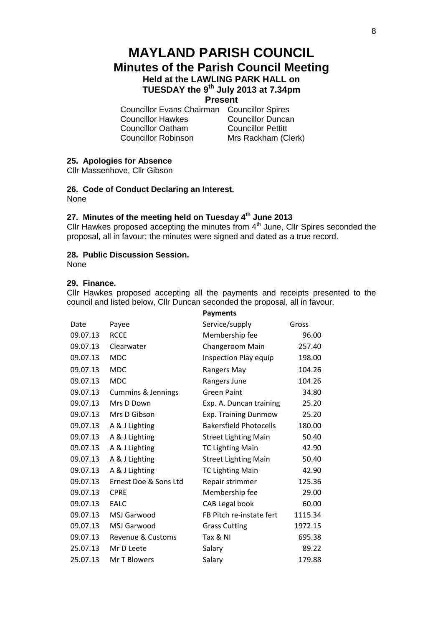# **MAYLAND PARISH COUNCIL Minutes of the Parish Council Meeting Held at the LAWLING PARK HALL on TUESDAY the 9th July 2013 at 7.34pm**

# **Present**

Councillor Evans Chairman Councillor Spires Councillor Hawkes Councillor Duncan Councillor Oatham Councillor Pettitt Councillor Robinson Mrs Rackham (Clerk)

# **25. Apologies for Absence**

Cllr Massenhove, Cllr Gibson

**26. Code of Conduct Declaring an Interest.**

None

## **27. Minutes of the meeting held on Tuesday 4 th June 2013**

Cllr Hawkes proposed accepting the minutes from  $4<sup>th</sup>$  June, Cllr Spires seconded the proposal, all in favour; the minutes were signed and dated as a true record.

## **28. Public Discussion Session.**

None

## **29. Finance.**

Cllr Hawkes proposed accepting all the payments and receipts presented to the council and listed below, Cllr Duncan seconded the proposal, all in favour.

|          |                               | <b>Payments</b>               |         |
|----------|-------------------------------|-------------------------------|---------|
| Date     | Payee                         | Service/supply                | Gross   |
| 09.07.13 | <b>RCCE</b>                   | Membership fee                | 96.00   |
| 09.07.13 | Clearwater                    | Changeroom Main               | 257.40  |
| 09.07.13 | <b>MDC</b>                    | Inspection Play equip         | 198.00  |
| 09.07.13 | <b>MDC</b>                    | Rangers May                   | 104.26  |
| 09.07.13 | <b>MDC</b>                    | Rangers June                  | 104.26  |
| 09.07.13 | <b>Cummins &amp; Jennings</b> | <b>Green Paint</b>            | 34.80   |
| 09.07.13 | Mrs D Down                    | Exp. A. Duncan training       | 25.20   |
| 09.07.13 | Mrs D Gibson                  | Exp. Training Dunmow          | 25.20   |
| 09.07.13 | A & J Lighting                | <b>Bakersfield Photocells</b> | 180.00  |
| 09.07.13 | A & J Lighting                | <b>Street Lighting Main</b>   | 50.40   |
| 09.07.13 | A & J Lighting                | <b>TC Lighting Main</b>       | 42.90   |
| 09.07.13 | A & J Lighting                | <b>Street Lighting Main</b>   | 50.40   |
| 09.07.13 | A & J Lighting                | <b>TC Lighting Main</b>       | 42.90   |
| 09.07.13 | Ernest Doe & Sons Ltd         | Repair strimmer               | 125.36  |
| 09.07.13 | <b>CPRE</b>                   | Membership fee                | 29.00   |
| 09.07.13 | EALC                          | CAB Legal book                | 60.00   |
| 09.07.13 | MSJ Garwood                   | FB Pitch re-instate fert      | 1115.34 |
| 09.07.13 | <b>MSJ Garwood</b>            | <b>Grass Cutting</b>          | 1972.15 |
| 09.07.13 | Revenue & Customs             | Tax & NI                      | 695.38  |
| 25.07.13 | Mr D Leete                    | Salary                        | 89.22   |
| 25.07.13 | Mr T Blowers                  | Salary                        | 179.88  |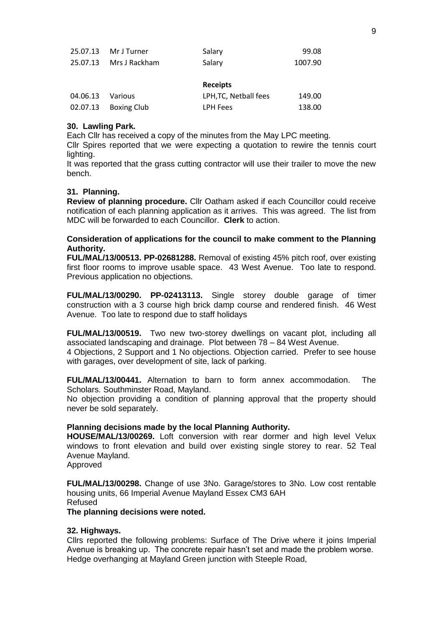| 25.07.13 MrJ Turner    | Salary | 99.08   |
|------------------------|--------|---------|
| 25.07.13 Mrs J Rackham | Salary | 1007.90 |

#### **Receipts**

|                  |                      | .                     |        |
|------------------|----------------------|-----------------------|--------|
| 04.06.13 Various |                      | LPH, TC, Netball fees | 149.00 |
|                  | 02.07.13 Boxing Club | LPH Fees              | 138.00 |

#### **30. Lawling Park.**

Each Cllr has received a copy of the minutes from the May LPC meeting.

Cllr Spires reported that we were expecting a quotation to rewire the tennis court lighting.

It was reported that the grass cutting contractor will use their trailer to move the new bench.

#### **31. Planning.**

**Review of planning procedure.** Cllr Oatham asked if each Councillor could receive notification of each planning application as it arrives. This was agreed. The list from MDC will be forwarded to each Councillor. **Clerk** to action.

## **Consideration of applications for the council to make comment to the Planning Authority.**

**FUL/MAL/13/00513. PP-02681288.** Removal of existing 45% pitch roof, over existing first floor rooms to improve usable space. 43 West Avenue. Too late to respond. Previous application no objections.

**FUL/MAL/13/00290. PP-02413113.** Single storey double garage of timer construction with a 3 course high brick damp course and rendered finish. 46 West Avenue. Too late to respond due to staff holidays

**FUL/MAL/13/00519.** Two new two-storey dwellings on vacant plot, including all associated landscaping and drainage. Plot between 78 – 84 West Avenue.

4 Objections, 2 Support and 1 No objections. Objection carried. Prefer to see house with garages, over development of site, lack of parking.

**FUL/MAL/13/00441.** Alternation to barn to form annex accommodation. The Scholars. Southminster Road, Mayland.

No objection providing a condition of planning approval that the property should never be sold separately.

#### **Planning decisions made by the local Planning Authority.**

**HOUSE/MAL/13/00269.** Loft conversion with rear dormer and high level Velux windows to front elevation and build over existing single storey to rear. 52 Teal Avenue Mayland.

Approved

**FUL/MAL/13/00298.** Change of use 3No. Garage/stores to 3No. Low cost rentable housing units, 66 Imperial Avenue Mayland Essex CM3 6AH Refused

**The planning decisions were noted.**

#### **32. Highways.**

Cllrs reported the following problems: Surface of The Drive where it joins Imperial Avenue is breaking up. The concrete repair hasn't set and made the problem worse. Hedge overhanging at Mayland Green junction with Steeple Road,